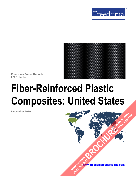



**Freedonia Focus Reports** US Collection

# **Fiber-Reinforced Plastic Composites: United States**

**December 2019**

**[www.freedoniafocusreports.com](https://www.freedoniafocusreports.com/redirect.asp?progid=89534&url=/)** CLICK TO ORDER **FULL REPORT** 

**[BROCHURE](https://www.freedoniafocusreports.com/Fiber-Reinforced-Plastic-Composites-United-States-FF55051/?progid=89541) CLICK TO ORDER** 

FULL REPORT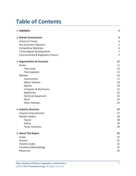# **Table of Contents**

| 1. Highlights                                 | 3              |
|-----------------------------------------------|----------------|
| 2. Market Environment                         | 4              |
| <b>Historical Trends</b>                      | 4              |
| Key Economic Indicators                       | 5              |
| <b>Competitive Materials</b>                  | 6              |
| <b>Technological Developments</b>             | $\overline{7}$ |
| <b>Environmental &amp; Regulatory Factors</b> | 9              |
| 3. Segmentation & Forecasts                   | 11             |
| Resins                                        | 11             |
| Thermoset                                     | 12             |
| Thermoplastic                                 | 13             |
| <b>Markets</b>                                | 16             |
| Construction                                  | 17             |
| <b>Motor Vehicles</b>                         | 18             |
| Marine                                        | 20             |
| <b>Computer &amp; Electronics</b>             | 21             |
| Appliances                                    | 22             |
| <b>Electrical Equipment</b>                   | 23             |
| Wind                                          | 24             |
| <b>Other Markets</b>                          | 25             |
| 4. Industry Structure                         | 27             |
| <b>Industry Characteristics</b>               | 27             |
| <b>Market Leaders</b>                         | 28             |
| Hexcel                                        | 28             |
| Solvay                                        | 29             |
| <b>Toray Industries</b>                       | 30             |
| 5. About This Report                          | 31             |
| Scope                                         | 31             |
| Sources                                       | 31             |
| <b>Industry Codes</b>                         | 32             |
| Freedonia Methodology                         | 32             |
| Resources                                     | 34             |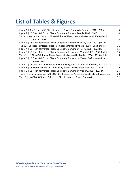# **List of Tables & Figures**

| Figure 1   Key Trends in US Fiber-Reinforced Plastic Composite Demand, 2018 - 2023          | 3  |
|---------------------------------------------------------------------------------------------|----|
| Figure 2   US Fiber-Reinforced Plastic Composite Demand Trends, 2008 - 2018                 | 4  |
| Table 1   Key Indicators for US Fiber-Reinforced Plastic Composite Demand, 2008 - 2023      |    |
| (2012US\$ bil)                                                                              | 5  |
| Figure 3   US Fiber-Reinforced Plastic Composite Demand by Resin, 2008 - 2023 (mil lbs)     | 11 |
| Table 2   US Fiber-Reinforced Plastic Composite Demand by Resin, 2008 - 2023 (mil lbs)      | 11 |
| Figure 4   US Fiber-Reinforced Plastic Composite Demand by Resin, 2008 - 2023 (%)           | 15 |
| Figure 5   US Fiber-Reinforced Plastic Composite Demand by Market, 2008 - 2023 (mil lbs)    | 16 |
| Table 3   US Fiber-Reinforced Plastic Composite Demand by Market, 2008 - 2023 (mil lbs)     | 16 |
| Figure 6   US Fiber-Reinforced Plastic Composite Demand by Market Performance Index         |    |
| $(2008=100)$                                                                                | 17 |
| Figure 7   US Construction FRP Demand w/ Building Construction Expenditures, 2008 - 2023    | 18 |
| Figure 8   US Motor Vehicle FRP Demand w/ Motor Vehicle Production, 2008 - 2023             | 19 |
| Figure 9   US Fiber-Reinforced Plastic Composite Demand by Market, 2008 - 2023 (%)          | 26 |
| Table 4   Leading Suppliers to the US Fiber-Reinforced Plastic Composite Market by Activity | 28 |
| Table 5   NAICS & SIC Codes Related to Fiber-Reinforced Plastic Composites                  | 32 |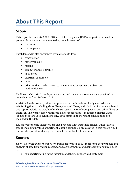# <span id="page-3-0"></span>**About This Report**

# <span id="page-3-1"></span>**Scope**

This report forecasts to 2023 US fiber-reinforced plastic (FRP) composites demand in pounds. Total demand is segmented by resin in terms of:

- thermoset
- thermoplastic

Total demand is also segmented by market as follows:

- construction
- motor vehicles
- marine
- computer and electronic
- appliances
- electrical equipment
- wind
- other markets such as aerospace equipment, consumer durables, and medical devices

To illustrate historical trends, total demand and the various segments are provided in annual series from 2008 to 2018.

As defined in this report, reinforced plastics are combinations of polymer resins and reinforcing fibers, including short fibers, chopped fibers, and fabric reinforcements. Data in this report include the weight of the basic resins, the reinforcing fibers, and other fillers or additives. The words "fiber-reinforced plastic composites", "reinforced plastics", and "composites" are used synonymously. Both captive and merchant consumption are included in the data.

Key macroeconomic indicators are also provided with quantified trends. Other various topics, including profiles of pertinent leading companies, are covered in this report. A full outline of report items by page is available in the Table of Contents.

## <span id="page-3-2"></span>**Sources**

*Fiber-Reinforced Plastic Composites: United States* (FF55051) represents the synthesis and analysis of data from various secondary, macroeconomic, and demographic sources, such as:

• firms participating in the industry, and their suppliers and customers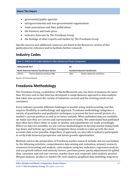#### **About This Report**

- government/public agencies
- intergovernmental and non-governmental organizations
- trade associations and their publications
- the business and trade press
- indicator forecasts by The Freedonia Group
- the findings of other reports and studies by The Freedonia Group

Specific sources and additional resources are listed in the Resources section of this publication for reference and to facilitate further research.

# <span id="page-4-0"></span>**Industry Codes**

<span id="page-4-2"></span>

| Table 5   NAICS & SIC Codes Related to Fiber-Reinforced Plastic Composites |                                 |            |                                           |  |
|----------------------------------------------------------------------------|---------------------------------|------------|-------------------------------------------|--|
| <b>NAICS/SCIAN 2017</b>                                                    |                                 | <b>SIC</b> |                                           |  |
| North American Industry Classification System                              |                                 |            | <b>Standard Industrial Classification</b> |  |
| 325211                                                                     | Plastics Material and Resin Mfg | 2821       | <b>Plastics Materials and Resins</b>      |  |

Source: US Census Bureau

# <span id="page-4-1"></span>**Freedonia Methodology**

The Freedonia Group, a subsidiary of MarketResearch.com, has been in business for more than 30 years and in that time has developed a comprehensive approach to data analysis that takes into account the variety of industries covered and the evolving needs of our customers.

Every industry presents different challenges in market sizing and forecasting, and this requires flexibility in methodology and approach. Freedonia methodology integrates a variety of quantitative and qualitative techniques to present the best overall picture of a market's current position as well as its future outlook: When published data are available, we make sure they are correct and representative of reality. We understand that published data often have flaws either in scope or quality, and adjustments are made accordingly. Where no data are available, we use various methodologies to develop market sizing (both top-down and bottom-up) and then triangulate those results to come up with the most accurate data series possible. Regardless of approach, we also talk to industry participants to verify both historical perspective and future growth opportunities.

Methods used in the preparation of Freedonia market research include, but are not limited to, the following activities: comprehensive data mining and evaluation, primary research, consensus forecasting and analysis, ratio analysis using key indicators, regression analysis, end use growth indices and intensity factors, purchase power parity adjustments for global data, consumer and end user surveys, market share and corporate sales analysis, product lifespan analysis, product or market life cycle analysis, graphical data modeling, long-term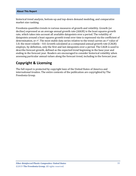historical trend analysis, bottom-up and top-down demand modeling, and comparative market size ranking.

Freedonia quantifies trends in various measures of growth and volatility. Growth (or decline) expressed as an average annual growth rate (AAGR) is the least squares growth rate, which takes into account all available datapoints over a period. The volatility of datapoints around a least squares growth trend over time is expressed via the coefficient of determination, or  $r^2$ . The most stable data series relative to the trend carries an  $r^2$  value of 1.0; the most volatile – 0.0. Growth calculated as a compound annual growth rate (CAGR) employs, by definition, only the first and last datapoints over a period. The CAGR is used to describe forecast growth, defined as the expected trend beginning in the base year and ending in the forecast year. Readers are encouraged to consider historical volatility when assessing particular annual values along the forecast trend, including in the forecast year.

# **Copyright & Licensing**

The full report is protected by copyright laws of the United States of America and international treaties. The entire contents of the publication are copyrighted by The Freedonia Group.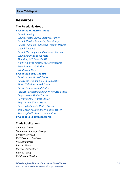## <span id="page-6-0"></span>**Resources**

#### **The Freedonia Group**

### **[Freedonia Industry Studies](http://www.freedoniagroup.com/Home.aspx?ReferrerId=FL-Focus)**

 *[Global Housing](http://www.freedoniagroup.com/DocumentDetails.aspx?ReferrerId=FL-FOCUS&studyid=3752) [Global Plastic Caps & Closures Market](http://www.freedoniagroup.com/DocumentDetails.aspx?ReferrerId=FL-FOCUS&studyid=3595) [Global Plastics Processing Machinery](http://www.freedoniagroup.com/DocumentDetails.aspx?ReferrerId=FL-FOCUS&studyid=3603) [Global Plumbing Fixtures & Fittings Market](http://www.freedoniagroup.com/DocumentDetails.aspx?ReferrerId=FL-FOCUS&studyid=3582) [Global Silicones](http://www.freedoniagroup.com/DocumentDetails.aspx?ReferrerId=FL-FOCUS&studyid=3763) Global [Thermoplastic Elastomers Market](http://www.freedoniagroup.com/DocumentDetails.aspx?ReferrerId=FL-FOCUS&studyid=3633) [Global 3D Printing Markets](http://www.freedoniagroup.com/DocumentDetails.aspx?ReferrerId=FL-FOCUS&studyid=3579) Mo [ulding & Trim in the US](http://www.freedoniagroup.com/DocumentDetails.aspx?ReferrerId=FL-FOCUS&studyid=3617) [North America Automotive Aftermarket](http://www.freedoniagroup.com/DocumentDetails.aspx?ReferrerId=FL-FOCUS&studyid=3577) [Pipe: Products & Markets](http://www.freedoniagroup.com/DocumentDetails.aspx?ReferrerId=FL-FOCUS&studyid=3675) [Windows & Doors](http://www.freedoniagroup.com/DocumentDetails.aspx?ReferrerId=FL-FOCUS&studyid=3726)*

#### **[Freedonia Focus Reports](https://www.freedoniafocusreports.com/redirect.asp?progid=89534&url=/)**

 *[Construction: United States](https://www.freedoniafocusreports.com/Construction-United-States-FF60054/?progid=89534) [Electronic Components: United States](https://www.freedoniafocusreports.com/Electronic-Components-United-States-FF80018/?progid=89534) [Motor Vehicles: United](https://www.freedoniafocusreports.com/Motor-Vehicles-United-States-FF85029/?progid=89534) States [Plastic Foams: United States](https://www.freedoniafocusreports.com/Plastic-Foams-United-States-FF55013/?progid=89534) [Plastics Processing Machinery: United States](https://www.freedoniafocusreports.com/Plastics-Processing-Machinery-United-States-FF75024/?progid=89534) [Polyethylene: United States](https://www.freedoniafocusreports.com/Polyethylene-United-States-FF55017/?progid=89534) [Polypropylene: United States](https://www.freedoniafocusreports.com/Polypropylene-United-States-FF55018/?progid=89534) [Polystyrene: United States](https://www.freedoniafocusreports.com/Polystyrene-United-States-FF55043/?progid=89534) [Polyvinyl Chloride: United States](https://www.freedoniafocusreports.com/Polyvinyl-Chloride-United-States-FF55020/?progid=89534) [Small Kitchen Appliances: United States](https://www.freedoniafocusreports.com/Small-Kitchen-Appliances-United-States-FF90029/?progid=89534) [Thermoplastic Resins: United States](https://www.freedoniafocusreports.com/Thermoplastic-Resins-United-States-FF55046/?progid=89534)* **Fr [veedonia Custom Researc](http://www.freedoniagroup.com/CustomResearch.aspx?ReferrerId=FL-Focus) h**

## **Trade Publications**

*Chemical Week Composites Manufacturing CompositesWorld ICIS Chemical Business JEC Composites Plastics News Plastics Technology PlasticsToday Reinforced Plastics*